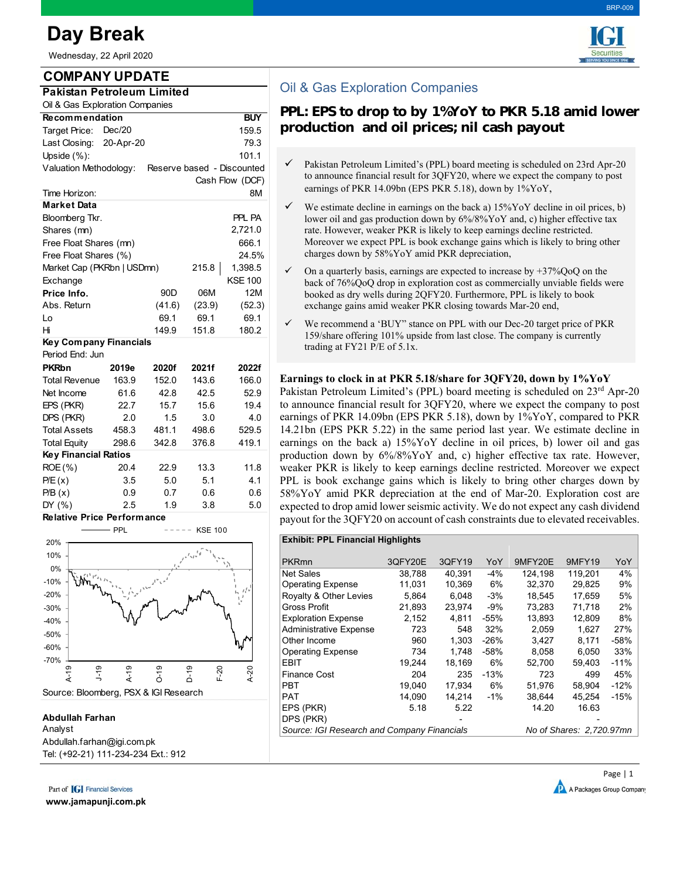# **Day Break**

Wednesday, 22 April 2020

**COMPANY UPDATE Pakistan Petroleum Limited** Oil & Gas Exploration Companies

Shares (mn)

**Market Data**

Target Price: 159.5 Dec/20 Last Closing: 79.3 20-Apr-20 Upside (%): 101.1

Recommendation BUY

Time Horizon: 8M

Valuation Methodology: Reserve based - Discounted

Bloomberg Tkr. PPL PA

2,721.0

Cash Flow (DCF)

Free Float Shares (mn) 666.1 Free Float Shares (%) 24.5% Market Cap (PKRbn | USDmn) 215.8 1,398.5 Exchange KSE 100 **Price Info.** 90D 06M 12M Abs. Return (41.6) (23.9) (52.3) Lo 69.1 69.1 69.1 Hi 149.9 151.8 180.2

**PKRbn 2019e 2020f 2021f 2022f** Total Revenue 163.9 152.0 143.6 166.0 Net Income 61.6 42.8 42.5 52.9 EPS (PKR) 22.7 15.7 15.6 19.4 DPS (PKR) 2.0 1.5 3.0 4.0 Total Assets 458.3 481.1 498.6 529.5 Total Equity 298.6 342.8 376.8 419.1

ROE (%) 20.4 22.9 13.3 11.8 P/E(x) 3.5 5.0 5.1 4.1 P/B (x) 0.9 0.7 0.6 0.6 DY (%) 2.5 1.9 3.8 5.0

### BRP-009



# Oil & Gas Exploration Companies

## **PPL: EPS to drop to by 1%YoY to PKR 5.18 amid lower production and oil prices; nil cash payout**

- $\checkmark$  Pakistan Petroleum Limited's (PPL) board meeting is scheduled on 23rd Apr-20 to announce financial result for 3QFY20, where we expect the company to post earnings of PKR 14.09bn (EPS PKR 5.18), down by 1%YoY,
- $\checkmark$  We estimate decline in earnings on the back a) 15%YoY decline in oil prices, b) lower oil and gas production down by 6%/8%YoY and, c) higher effective tax rate. However, weaker PKR is likely to keep earnings decline restricted. Moreover we expect PPL is book exchange gains which is likely to bring other charges down by 58%YoY amid PKR depreciation,
- $\checkmark$  On a quarterly basis, earnings are expected to increase by +37%QoQ on the back of 76%QoQ drop in exploration cost as commercially unviable fields were booked as dry wells during 2QFY20. Furthermore, PPL is likely to book exchange gains amid weaker PKR closing towards Mar-20 end,
- $\checkmark$  We recommend a 'BUY" stance on PPL with our Dec-20 target price of PKR 159/share offering 101% upside from last close. The company is currently trading at FY21 P/E of 5.1x.

#### **Earnings to clock in at PKR 5.18/share for 3QFY20, down by 1%YoY**

Pakistan Petroleum Limited's (PPL) board meeting is scheduled on  $23<sup>rd</sup>$  Apr-20 to announce financial result for 3QFY20, where we expect the company to post earnings of PKR 14.09bn (EPS PKR 5.18), down by 1%YoY, compared to PKR 14.21bn (EPS PKR 5.22) in the same period last year. We estimate decline in earnings on the back a) 15%YoY decline in oil prices, b) lower oil and gas production down by 6%/8%YoY and, c) higher effective tax rate. However, weaker PKR is likely to keep earnings decline restricted. Moreover we expect PPL is book exchange gains which is likely to bring other charges down by 58%YoY amid PKR depreciation at the end of Mar-20. Exploration cost are expected to drop amid lower seismic activity. We do not expect any cash dividend payout for the 3QFY20 on account of cash constraints due to elevated receivables.



DPS (PKR)

#### **Abdullah Farhan** Analyst Abdullah.farhan@igi.com.pk Tel: (+92-21) 111-234-234 Ext.: 912

**Relative Price Performance**

**Key Financial Ratios**

**Key Company Financials** 

Period End: Jun

Part of **[G]** Financial Services

**www.jamapunji.com.pk**

Royalty & Other Levies 5,864 6,048 -3% 18,545 17,659 5% Gross Profit 21,893 23,974 -9% 73,283 71,718 2% Exploration Expense 2,152 4,811 -55% 13,893 12,809 8% Administrative Expense 723 548 32% 2,059 1,627 27% Other Income 960 1,303 -26% 3,427 8,171 -58% Operating Expense 734 1,748 -58% 8,058 6,050 33% EBIT 19,244 18,169 6% 52,700 59,403 -11% Finance Cost 204 235 -13% 723 499 45% PBT 19,040 17,934 6% 51,976 58,904 -12% PAT 14,090 14,214 -1% 38,644 45,254 -15% EPS (PKR) 5.18 5.22 14.20 16.63 Source: IGI Research and Company Financials Mo of Shares: 2,720.97mn